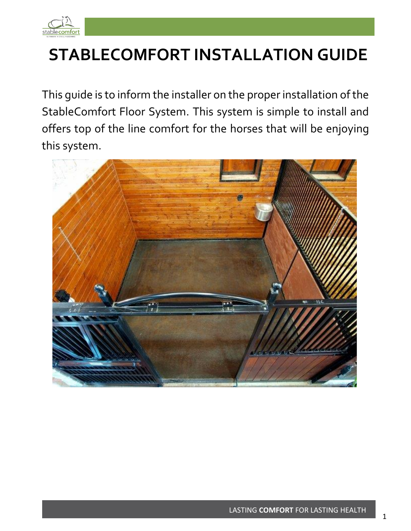

# **STABLECOMFORT INSTALLATION GUIDE**

This guide is to inform the installer on the proper installation of the StableComfort Floor System. This system is simple to install and offers top of the line comfort for the horses that will be enjoying this system.

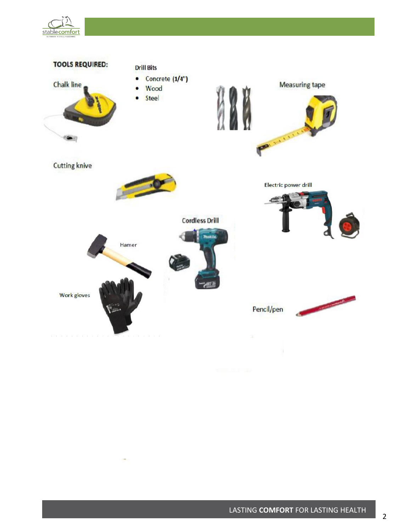

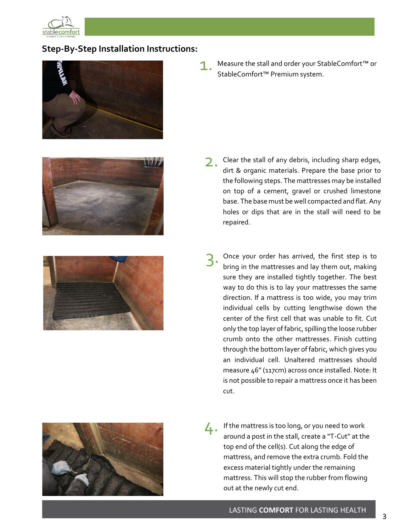

## **Step-By-Step Installation Instructions:**







Measure the stall and order your StableComfort™ or StableComfort™ Premium system.

- Clear the stall of any debris, including sharp edges, dirt & organic materials. Prepare the base prior to the following steps. The mattresses may be installed on top of a cement, gravel or crushed limestone base. The base must be well compacted and flat. Any holes or dips that are in the stall will need to be repaired. 2.
- Once your order has arrived, the first step is to bring in the mattresses and lay them out, making sure they are installed tightly together. The best way to do this is to lay your mattresses the same direction. If a mattress is too wide, you may trim individual cells by cutting lengthwise down the center of the first cell that was unable to fit. Cut only the top layer of fabric, spilling the loose rubber crumb onto the other mattresses. Finish cutting through the bottom layer of fabric, which gives you an individual cell. Unaltered mattresses should measure 46" (117cm) across once installed. Note: It is not possible to repair a mattress once it has been cut. 3.
- If the mattress is too long, or you need to work around a post in the stall, create a "T-Cut" at the top end of the cell(s). Cut along the edge of mattress, and remove the extra crumb. Fold the excess material tightly under the remaining mattress. This will stop the rubber from flowing out at the newly cut end. 4.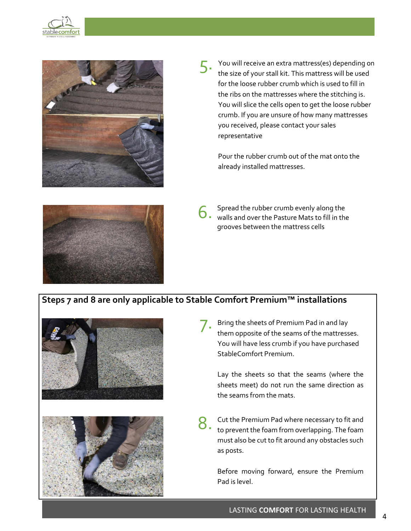



You will receive an extra mattress(es) depending on the size of your stall kit. This mattress will be used for the loose rubber crumb which is used to fill in the ribs on the mattresses where the stitching is. You will slice the cells open to get the loose rubber crumb. If you are unsure of how many mattresses you received, please contact your sales representative 5.

Pour the rubber crumb out of the mat onto the already installed mattresses.



Spread the rubber crumb evenly along the walls and over the Pasture Mats to fill in the grooves between the mattress cells 6.

## **Steps 7 and 8 are only applicable to Stable Comfort Premium™ installations**





Bring the sheets of Premium Pad in and lay them opposite of the seams of the mattresses. You will have less crumb if you have purchased StableComfort Premium. 7.

Lay the sheets so that the seams (where the sheets meet) do not run the same direction as the seams from the mats.

Cut the Premium Pad where necessary to fit and to prevent the foam from overlapping. The foam must also be cut to fit around any obstacles such as posts. 8.

> Before moving forward, ensure the Premium Pad is level.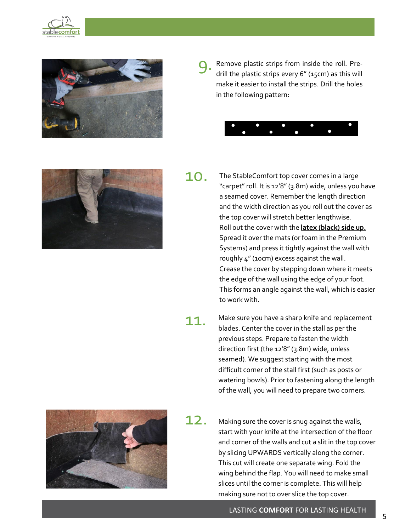



Remove plastic strips from inside the roll. Predrill the plastic strips every 6" (15cm) as this will make it easier to install the strips. Drill the holes in the following pattern: 9.





10.

The StableComfort top cover comes in a large "carpet" roll. It is 12'8" (3.8m) wide, unless you have a seamed cover. Remember the length direction and the width direction as you roll out the cover as the top cover will stretch better lengthwise. Roll out the cover with the **latex (black) side up.** Spread it over the mats (or foam in the Premium Systems) and press it tightly against the wall with roughly 4" (10cm) excess against the wall. Crease the cover by stepping down where it meets the edge of the wall using the edge of your foot. This forms an angle against the wall, which is easier to work with.

11. Make sure you have a sharp knife and replacement blades. Center the cover in the stall as per the previous steps. Prepare to fasten the width direction first (the 12'8" (3.8m) wide, unless seamed). We suggest starting with the most difficult corner of the stall first (such as posts or watering bowls). Prior to fastening along the length of the wall, you will need to prepare two corners.



- 12.
	- Making sure the cover is snug against the walls, start with your knife at the intersection of the floor and corner of the walls and cut a slit in the top cover by slicing UPWARDS vertically along the corner. This cut will create one separate wing. Fold the wing behind the flap. You will need to make small slices until the corner is complete. This will help making sure not to over slice the top cover.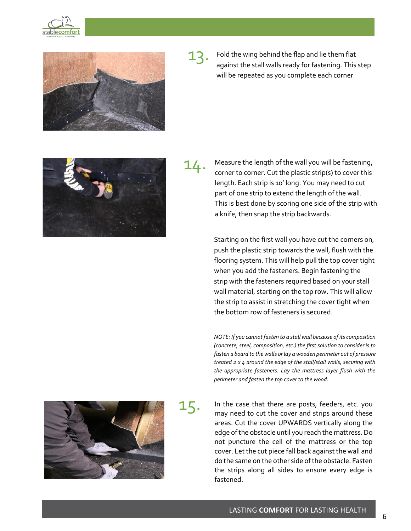



13. Fold the wing behind the flap and lie them flat against the stall walls ready for fastening. This step will be repeated as you complete each corner



14.

Measure the length of the wall you will be fastening, corner to corner. Cut the plastic strip(s) to cover this length. Each strip is 10' long. You may need to cut part of one strip to extend the length of the wall. This is best done by scoring one side of the strip with a knife, then snap the strip backwards.

Starting on the first wall you have cut the corners on, push the plastic strip towards the wall, flush with the flooring system. This will help pull the top cover tight when you add the fasteners. Begin fastening the strip with the fasteners required based on your stall wall material, starting on the top row. This will allow the strip to assist in stretching the cover tight when the bottom row of fasteners is secured.

*NOTE: If you cannot fasten to a stall wall because of its composition (concrete, steel, composition, etc.) the first solution to consider is to fasten a board to the walls or lay a wooden perimeter out of pressure treated 2 x 4 around the edge of the stall/stall walls, securing with the appropriate fasteners. Lay the mattress layer flush with the perimeter and fasten the top cover to the wood.*



15.

In the case that there are posts, feeders, etc. you may need to cut the cover and strips around these areas. Cut the cover UPWARDS vertically along the edge of the obstacle until you reach the mattress. Do not puncture the cell of the mattress or the top cover. Let the cut piece fall back against the wall and do the same on the other side of the obstacle. Fasten the strips along all sides to ensure every edge is fastened.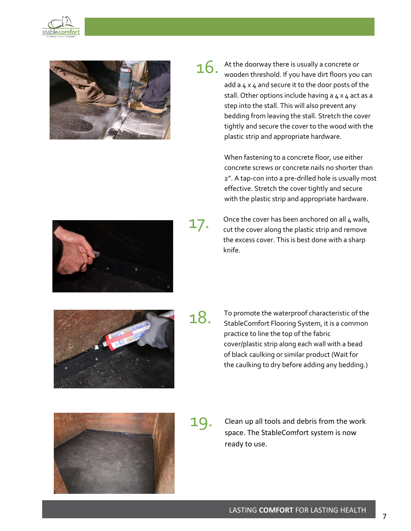



At the doorway there is usually a concrete or wooden threshold. If you have dirt floors you can add a 4 x 4 and secure it to the door posts of the stall. Other options include having a  $4 \times 4$  act as a step into the stall. This will also prevent any bedding from leaving the stall. Stretch the cover tightly and secure the cover to the wood with the plastic strip and appropriate hardware. 16.

> When fastening to a concrete floor, use either concrete screws or concrete nails no shorter than 2". A tap-con into a pre-drilled hole is usually most effective. Stretch the cover tightly and secure with the plastic strip and appropriate hardware.



17.

Once the cover has been anchored on all 4 walls, cut the cover along the plastic strip and remove the excess cover. This is best done with a sharp knife.



18.

To promote the waterproof characteristic of the StableComfort Flooring System, it is a common practice to line the top of the fabric cover/plastic strip along each wall with a bead of black caulking or similar product (Wait for the caulking to dry before adding any bedding.)



19. Clean up all tools and debris from the work space. The StableComfort system is now ready to use.